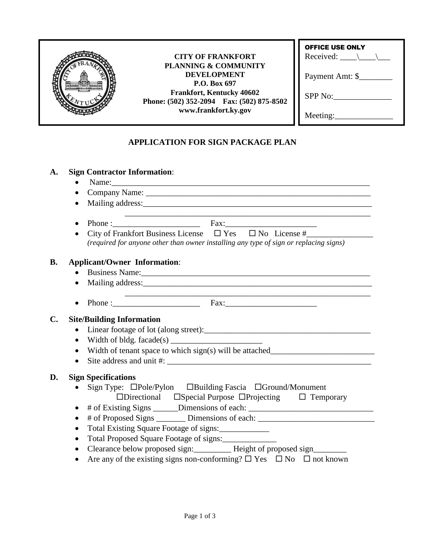| <b>TITULIT DUALES</b> | <b>CITY OF FRANKFORT</b><br><b>PLANNING &amp; COMMUNITY</b><br><b>DEVELOPMENT</b><br>P.O. Box 697<br><b>Frankfort, Kentucky 40602</b><br>Phone: (502) 352-2094 Fax: (502) 875-8502<br>www.frankfort.ky.gov | <b>OFFICE USE ONLY</b><br>Received: $\setminus$ $\setminus$ |  |
|-----------------------|------------------------------------------------------------------------------------------------------------------------------------------------------------------------------------------------------------|-------------------------------------------------------------|--|
|                       |                                                                                                                                                                                                            | Payment Amt: \$                                             |  |
|                       |                                                                                                                                                                                                            | SPP No:                                                     |  |
|                       |                                                                                                                                                                                                            | Meeting:                                                    |  |
|                       | APPLICATION FOR SIGN PACKAGE PLAN                                                                                                                                                                          |                                                             |  |

# **APPLICATION FOR SIGN PACKAGE PLAN**

## **A. Sign Contractor Information**:

**D.** 

|    | $\bullet$                                                                                                                                                                                                                                   |  |  |  |  |
|----|---------------------------------------------------------------------------------------------------------------------------------------------------------------------------------------------------------------------------------------------|--|--|--|--|
|    | $\bullet$                                                                                                                                                                                                                                   |  |  |  |  |
|    |                                                                                                                                                                                                                                             |  |  |  |  |
|    | Mailing address: National Accounts and Accounts and Accounts and Accounts and Accounts and Accounts and Accounts and Accounts and Accounts and Accounts and Accounts and Accounts and Accounts and Accounts and Accounts and A              |  |  |  |  |
|    | $\bullet$                                                                                                                                                                                                                                   |  |  |  |  |
|    | City of Frankfort Business License $\square$ Yes $\square$ No License #                                                                                                                                                                     |  |  |  |  |
|    | (required for anyone other than owner installing any type of sign or replacing signs)                                                                                                                                                       |  |  |  |  |
| B. | <b>Applicant/Owner Information:</b>                                                                                                                                                                                                         |  |  |  |  |
|    |                                                                                                                                                                                                                                             |  |  |  |  |
|    | Mailing address: National Accounts and Accounts and Accounts and Accounts and Accounts and Accounts and Accounts and Accounts and Accounts and Accounts and Accounts and Accounts and Accounts and Accounts and Accounts and A<br>$\bullet$ |  |  |  |  |
|    |                                                                                                                                                                                                                                             |  |  |  |  |
|    | Phone: $\begin{bmatrix} Fax: \end{bmatrix}$<br>$\bullet$                                                                                                                                                                                    |  |  |  |  |
| C. | <b>Site/Building Information</b>                                                                                                                                                                                                            |  |  |  |  |
|    | $\bullet$                                                                                                                                                                                                                                   |  |  |  |  |
|    | $\bullet$                                                                                                                                                                                                                                   |  |  |  |  |
|    | Width of tenant space to which sign(s) will be attached__________________________<br>$\bullet$                                                                                                                                              |  |  |  |  |
|    | $\bullet$                                                                                                                                                                                                                                   |  |  |  |  |
|    |                                                                                                                                                                                                                                             |  |  |  |  |
| D. | <b>Sign Specifications</b>                                                                                                                                                                                                                  |  |  |  |  |
|    | Sign Type: □Pole/Pylon □Building Fascia □Ground/Monument                                                                                                                                                                                    |  |  |  |  |
|    | $\Box$ Directional $\Box$ Special Purpose $\Box$ Projecting $\Box$ Temporary                                                                                                                                                                |  |  |  |  |
|    | # of Existing Signs ______Dimensions of each: __________________________________<br>$\bullet$                                                                                                                                               |  |  |  |  |
|    | # of Proposed Signs _________ Dimensions of each: ______________________________<br>$\bullet$                                                                                                                                               |  |  |  |  |
|    | Total Existing Square Footage of signs:<br>$\bullet$                                                                                                                                                                                        |  |  |  |  |
|    | Total Proposed Square Footage of signs:<br>$\bullet$                                                                                                                                                                                        |  |  |  |  |
|    | Clearance below proposed sign: __________ Height of proposed sign_______<br>$\bullet$                                                                                                                                                       |  |  |  |  |
|    | Are any of the existing signs non-conforming? $\square$ Yes $\square$ No $\square$ not known<br>$\bullet$                                                                                                                                   |  |  |  |  |
|    |                                                                                                                                                                                                                                             |  |  |  |  |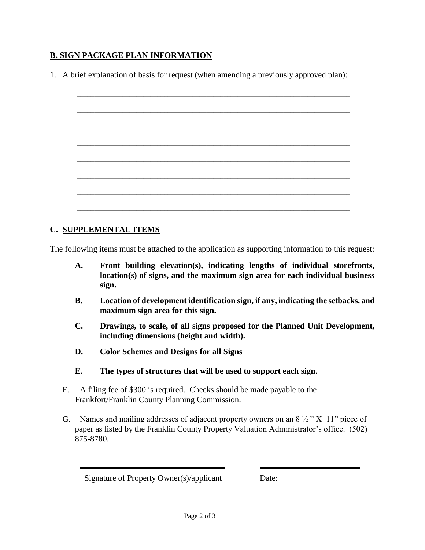## **B. SIGN PACKAGE PLAN INFORMATION**

1. A brief explanation of basis for request (when amending a previously approved plan):

#### **C. SUPPLEMENTAL ITEMS**

The following items must be attached to the application as supporting information to this request:

- **A. Front building elevation(s), indicating lengths of individual storefronts, location(s) of signs, and the maximum sign area for each individual business sign.**
- **B. Location of development identification sign, if any, indicating the setbacks, and maximum sign area for this sign.**
- **C. Drawings, to scale, of all signs proposed for the Planned Unit Development, including dimensions (height and width).**
- **D. Color Schemes and Designs for all Signs**
- **E. The types of structures that will be used to support each sign.**
- F. A filing fee of \$300 is required. Checks should be made payable to the Frankfort/Franklin County Planning Commission.
- G. Names and mailing addresses of adjacent property owners on an  $8\frac{1}{2}$  "X 11" piece of paper as listed by the Franklin County Property Valuation Administrator's office. (502) 875-8780.

Signature of Property Owner(s)/applicant Date: